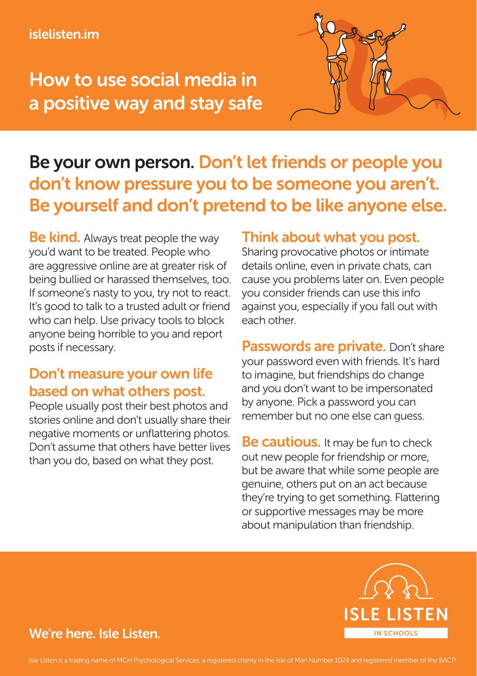#### islelisten.im

## How to use social media in a positive way and stay safe



### Be your own person. Don't let friends or people you don't know pressure you to be someone you aren't. Be yourself and don't pretend to be like anyone else.

**Be kind.** Always treat people the way you'd want to be treated. People who are aggressive online are at greater risk of being bullied or harassed themselves, too. If someone's nasty to you, try not to react. It's good to talk to a trusted adult or friend who can help. Use privacy tools to block anyone being horrible to you and report posts if necessary.

### Don't measure your own life based on what others post.

People usually post their best photos and stories online and don't usually share their negative moments or unflattering photos. Don't assume that others have better lives than you do, based on what they post.

#### Think about what you post.

Sharing provocative photos or intimate details online, even in private chats, can cause you problems later on. Even people you consider friends can use this info against you, especially if you fall out with each other.

Passwords are private. Don't share your password even with friends. It's hard to imagine, but friendships do change and you don't want to be impersonated by anyone. Pick a password you can remember but no one else can guess.

**Be cautious.** It may be fun to check out new people for friendship or more, but be aware that while some people are genuine, others put on an act because they're trying to get something. Flattering or supportive messages may be more about manipulation than friendship.



#### We're here. Isle Listen.